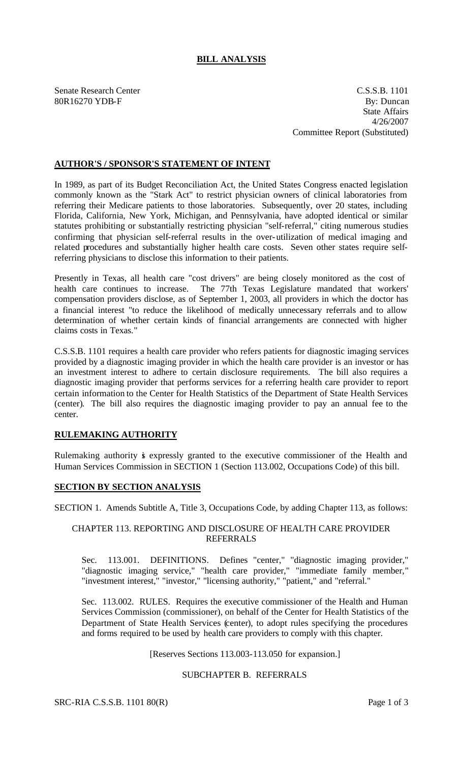# **BILL ANALYSIS**

Senate Research Center C.S.S.B. 1101 80R16270 YDB-F By: Duncan State Affairs 4/26/2007 Committee Report (Substituted)

### **AUTHOR'S / SPONSOR'S STATEMENT OF INTENT**

In 1989, as part of its Budget Reconciliation Act, the United States Congress enacted legislation commonly known as the "Stark Act" to restrict physician owners of clinical laboratories from referring their Medicare patients to those laboratories. Subsequently, over 20 states, including Florida, California, New York, Michigan, and Pennsylvania, have adopted identical or similar statutes prohibiting or substantially restricting physician "self-referral," citing numerous studies confirming that physician self-referral results in the over-utilization of medical imaging and related procedures and substantially higher health care costs. Seven other states require selfreferring physicians to disclose this information to their patients.

Presently in Texas, all health care "cost drivers" are being closely monitored as the cost of health care continues to increase. The 77th Texas Legislature mandated that workers' compensation providers disclose, as of September 1, 2003, all providers in which the doctor has a financial interest "to reduce the likelihood of medically unnecessary referrals and to allow determination of whether certain kinds of financial arrangements are connected with higher claims costs in Texas."

C.S.S.B. 1101 requires a health care provider who refers patients for diagnostic imaging services provided by a diagnostic imaging provider in which the health care provider is an investor or has an investment interest to adhere to certain disclosure requirements. The bill also requires a diagnostic imaging provider that performs services for a referring health care provider to report certain information to the Center for Health Statistics of the Department of State Health Services (center). The bill also requires the diagnostic imaging provider to pay an annual fee to the center.

# **RULEMAKING AUTHORITY**

Rulemaking authority is expressly granted to the executive commissioner of the Health and Human Services Commission in SECTION 1 (Section 113.002, Occupations Code) of this bill.

### **SECTION BY SECTION ANALYSIS**

SECTION 1. Amends Subtitle A, Title 3, Occupations Code, by adding Chapter 113, as follows:

#### CHAPTER 113. REPORTING AND DISCLOSURE OF HEALTH CARE PROVIDER REFERRALS

Sec. 113.001. DEFINITIONS. Defines "center," "diagnostic imaging provider," "diagnostic imaging service," "health care provider," "immediate family member," "investment interest," "investor," "licensing authority," "patient," and "referral."

Sec. 113.002. RULES. Requires the executive commissioner of the Health and Human Services Commission (commissioner), on behalf of the Center for Health Statistics of the Department of State Health Services (center), to adopt rules specifying the procedures and forms required to be used by health care providers to comply with this chapter.

[Reserves Sections 113.003-113.050 for expansion.]

## SUBCHAPTER B. REFERRALS

SRC-RIA C.S.S.B. 1101 80(R) Page 1 of 3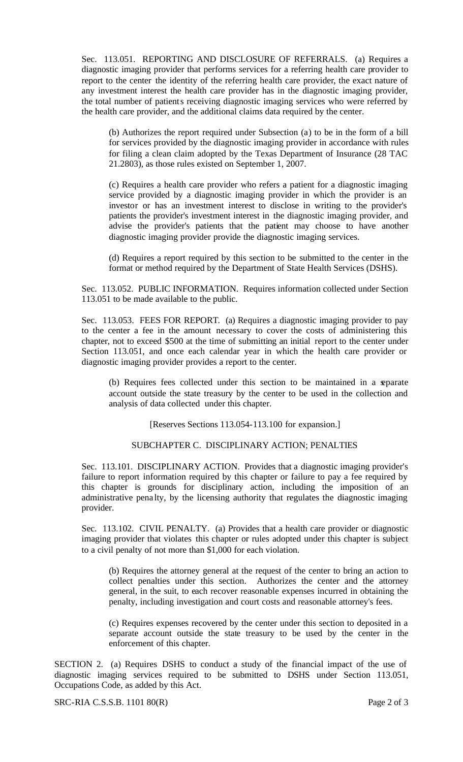Sec. 113.051. REPORTING AND DISCLOSURE OF REFERRALS. (a) Requires a diagnostic imaging provider that performs services for a referring health care provider to report to the center the identity of the referring health care provider, the exact nature of any investment interest the health care provider has in the diagnostic imaging provider, the total number of patients receiving diagnostic imaging services who were referred by the health care provider, and the additional claims data required by the center.

(b) Authorizes the report required under Subsection (a) to be in the form of a bill for services provided by the diagnostic imaging provider in accordance with rules for filing a clean claim adopted by the Texas Department of Insurance (28 TAC 21.2803), as those rules existed on September 1, 2007.

(c) Requires a health care provider who refers a patient for a diagnostic imaging service provided by a diagnostic imaging provider in which the provider is an investor or has an investment interest to disclose in writing to the provider's patients the provider's investment interest in the diagnostic imaging provider, and advise the provider's patients that the patient may choose to have another diagnostic imaging provider provide the diagnostic imaging services.

(d) Requires a report required by this section to be submitted to the center in the format or method required by the Department of State Health Services (DSHS).

Sec. 113.052. PUBLIC INFORMATION. Requires information collected under Section 113.051 to be made available to the public.

Sec. 113.053. FEES FOR REPORT. (a) Requires a diagnostic imaging provider to pay to the center a fee in the amount necessary to cover the costs of administering this chapter, not to exceed \$500 at the time of submitting an initial report to the center under Section 113.051, and once each calendar year in which the health care provider or diagnostic imaging provider provides a report to the center.

(b) Requires fees collected under this section to be maintained in a separate account outside the state treasury by the center to be used in the collection and analysis of data collected under this chapter.

[Reserves Sections 113.054-113.100 for expansion.]

### SUBCHAPTER C. DISCIPLINARY ACTION; PENALTIES

Sec. 113.101. DISCIPLINARY ACTION. Provides that a diagnostic imaging provider's failure to report information required by this chapter or failure to pay a fee required by this chapter is grounds for disciplinary action, including the imposition of an administrative pena lty, by the licensing authority that regulates the diagnostic imaging provider.

Sec. 113.102. CIVIL PENALTY. (a) Provides that a health care provider or diagnostic imaging provider that violates this chapter or rules adopted under this chapter is subject to a civil penalty of not more than \$1,000 for each violation.

(b) Requires the attorney general at the request of the center to bring an action to collect penalties under this section. Authorizes the center and the attorney general, in the suit, to each recover reasonable expenses incurred in obtaining the penalty, including investigation and court costs and reasonable attorney's fees.

(c) Requires expenses recovered by the center under this section to deposited in a separate account outside the state treasury to be used by the center in the enforcement of this chapter.

SECTION 2. (a) Requires DSHS to conduct a study of the financial impact of the use of diagnostic imaging services required to be submitted to DSHS under Section 113.051, Occupations Code, as added by this Act.

SRC-RIA C.S.S.B. 1101 80(R) Page 2 of 3